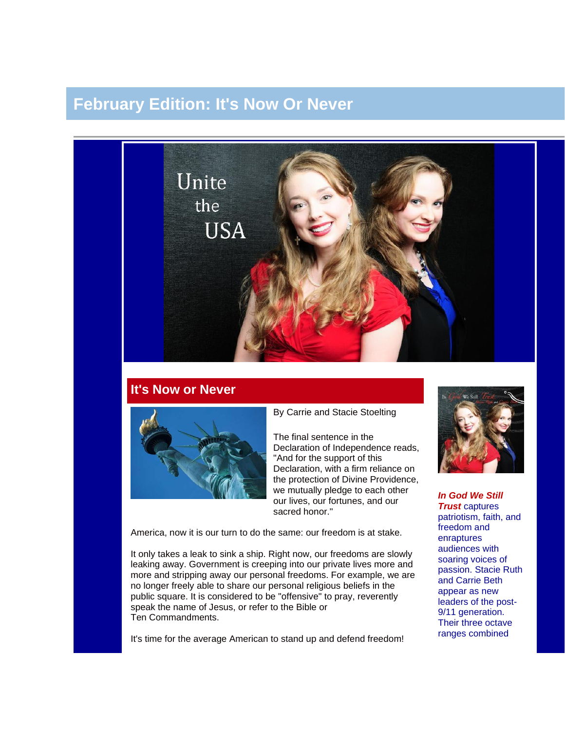## **February Edition: It's Now Or Never**



## **It's Now or Never**



By Carrie and Stacie Stoelting

The final sentence in the Declaration of Independence reads, "And for the support of this Declaration, with a firm reliance on the protection of Divine Providence, we mutually pledge to each other our lives, our fortunes, and our sacred honor."

America, now it is our turn to do the same: our freedom is at stake.

It only takes a leak to sink a ship. Right now, our freedoms are slowly leaking away. Government is creeping into our private lives more and more and stripping away our personal freedoms. For example, we are no longer freely able to share our personal religious beliefs in the public square. It is considered to be "offensive" to pray, reverently speak the name of Jesus, or refer to the Bible or Ten Commandments.

It's time for the average American to stand up and defend freedom!



*In God We Still Trust* captures patriotism, faith, and freedom and enraptures audiences with soaring voices of passion. Stacie Ruth and Carrie Beth appear as new leaders of the post-9/11 generation. Their three octave ranges combined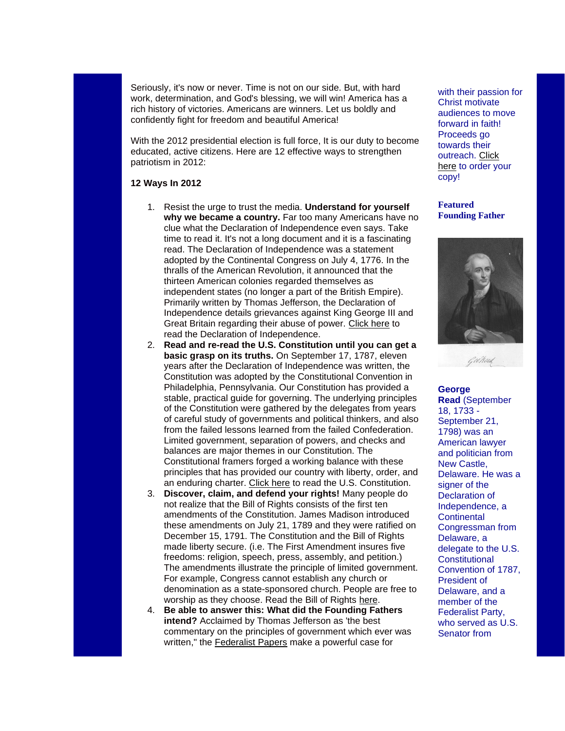Seriously, it's now or never. Time is not on our side. But, with hard work, determination, and God's blessing, we will win! America has a rich history of victories. Americans are winners. Let us boldly and confidently fight for freedom and beautiful America!

With the 2012 presidential election is full force, It is our duty to become educated, active citizens. Here are 12 effective ways to strengthen patriotism in 2012:

## **12 Ways In 2012**

- 1. Resist the urge to trust the media. **Understand for yourself why we became a country.** Far too many Americans have no clue what the Declaration of Independence even says. Take time to read it. It's not a long document and it is a fascinating read. The Declaration of Independence was a statement adopted by the Continental Congress on July 4, 1776. In the thralls of the American Revolution, it announced that the thirteen American colonies regarded themselves as independent states (no longer a part of the British Empire). Primarily written by Thomas Jefferson, the Declaration of Independence details grievances against King George III and Great Britain regarding their abuse of power. [Click here](http://www.wallbuilders.com/LIBissuesArticles.asp?id=25685) to read the Declaration of Independence.
- 2. **Read and re-read the U.S. Constitution until you can get a basic grasp on its truths.** On September 17, 1787, eleven years after the Declaration of Independence was written, the Constitution was adopted by the Constitutional Convention in Philadelphia, Pennsylvania. Our Constitution has provided a stable, practical guide for governing. The underlying principles of the Constitution were gathered by the delegates from years of careful study of governments and political thinkers, and also from the failed lessons learned from the failed Confederation. Limited government, separation of powers, and checks and balances are major themes in our Constitution. The Constitutional framers forged a working balance with these principles that has provided our country with liberty, order, and an enduring charter. [Click here](http://www.wallbuilders.com/LIBissuesArticles.asp?id=36438) to read the U.S. Constitution.
- 3. **Discover, claim, and defend your rights!** Many people do not realize that the Bill of Rights consists of the first ten amendments of the Constitution. James Madison introduced these amendments on July 21, 1789 and they were ratified on December 15, 1791. The Constitution and the Bill of Rights made liberty secure. (i.e. The First Amendment insures five freedoms: religion, speech, press, assembly, and petition.) The amendments illustrate the principle of limited government. For example, Congress cannot establish any church or denomination as a state-sponsored church. People are free to worship as they choose. Read the Bill of Rights [here.](http://www.archives.gov/exhibits/charters/bill_of_rights_transcript.html)
- 4. **Be able to answer this: What did the Founding Fathers intend?** Acclaimed by Thomas Jefferson as 'the best commentary on the principles of government which ever was written," the [Federalist Papers](http://thomas.loc.gov/home/histdox/fedpapers.html) make a powerful case for

with their passion for Christ motivate audiences to move forward in faith! Proceeds go towards their outreach. [Click](http://unitetheusa.org/id56.html)  [here](http://unitetheusa.org/id56.html) to order your copy!

**Featured Founding Father**



**George Read** (September 18, 1733 - September 21, 1798) was an American lawyer and politician from New Castle, Delaware. He was a signer of the Declaration of Independence, a **Continental** Congressman from Delaware, a delegate to the U.S. **Constitutional** Convention of 1787, President of Delaware, and a member of the Federalist Party, who served as U.S. Senator from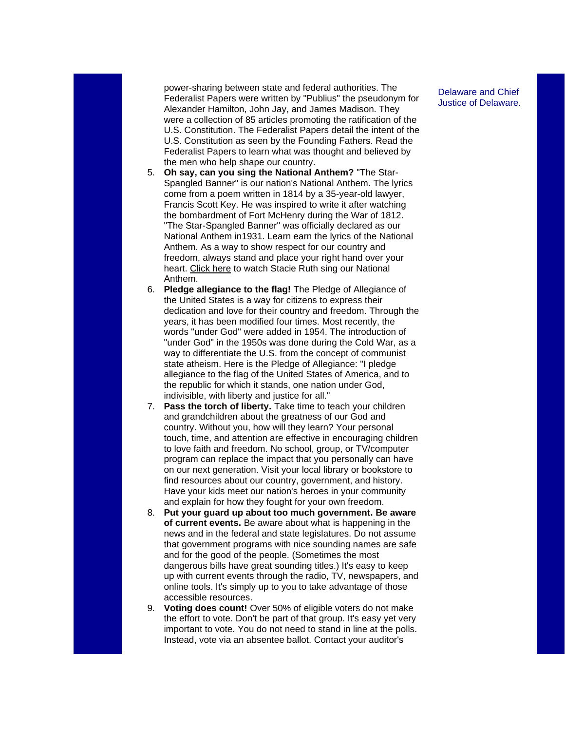power-sharing between state and federal authorities. The Federalist Papers were written by "Publius" the pseudonym for Alexander Hamilton, John Jay, and James Madison. They were a collection of 85 articles promoting the ratification of the U.S. Constitution. The Federalist Papers detail the intent of the U.S. Constitution as seen by the Founding Fathers. Read the Federalist Papers to learn what was thought and believed by the men who help shape our country.

- 5. **Oh say, can you sing the National Anthem?** "The Star-Spangled Banner" is our nation's National Anthem. The lyrics come from a poem written in 1814 by a 35-year-old lawyer, Francis Scott Key. He was inspired to write it after watching the bombardment of Fort McHenry during the War of 1812. "The Star-Spangled Banner" was officially declared as our National Anthem in1931. Learn earn the [lyrics](http://en.wikipedia.org/wiki/The_Star-Spangled_Banner#Lyrics) of the National Anthem. As a way to show respect for our country and freedom, always stand and place your right hand over your heart. [Click here](http://www.youtube.com/watch?v=Nr7cYMYD944) to watch Stacie Ruth sing our National Anthem.
- 6. **Pledge allegiance to the flag!** The Pledge of Allegiance of the United States is a way for citizens to express their dedication and love for their country and freedom. Through the years, it has been modified four times. Most recently, the words "under God" were added in 1954. The introduction of "under God" in the 1950s was done during the Cold War, as a way to differentiate the U.S. from the concept of communist state atheism. Here is the Pledge of Allegiance: "I pledge allegiance to the flag of the United States of America, and to the republic for which it stands, one nation under God, indivisible, with liberty and justice for all."
- 7. **Pass the torch of liberty.** Take time to teach your children and grandchildren about the greatness of our God and country. Without you, how will they learn? Your personal touch, time, and attention are effective in encouraging children to love faith and freedom. No school, group, or TV/computer program can replace the impact that you personally can have on our next generation. Visit your local library or bookstore to find resources about our country, government, and history. Have your kids meet our nation's heroes in your community and explain for how they fought for your own freedom.
- 8. **Put your guard up about too much government. Be aware of current events.** Be aware about what is happening in the news and in the federal and state legislatures. Do not assume that government programs with nice sounding names are safe and for the good of the people. (Sometimes the most dangerous bills have great sounding titles.) It's easy to keep up with current events through the radio, TV, newspapers, and online tools. It's simply up to you to take advantage of those accessible resources.
- 9. **Voting does count!** Over 50% of eligible voters do not make the effort to vote. Don't be part of that group. It's easy yet very important to vote. You do not need to stand in line at the polls. Instead, vote via an absentee ballot. Contact your auditor's

Delaware and Chief Justice of Delaware.